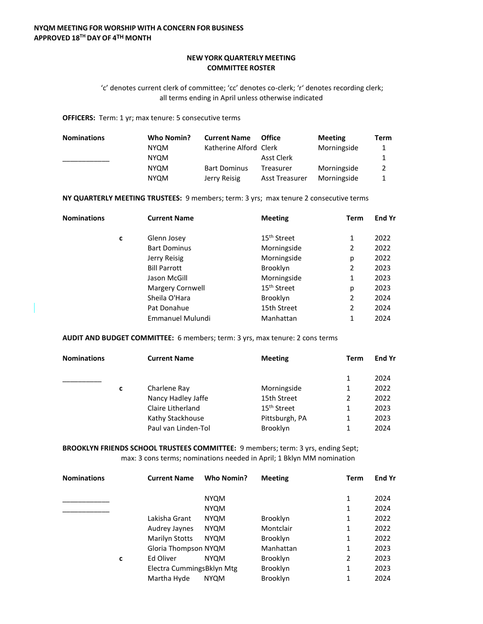## **NEW YORK QUARTERLY MEETING COMMITTEE ROSTER**

'c' denotes current clerk of committee; 'cc' denotes co-clerk; 'r' denotes recording clerk; all terms ending in April unless otherwise indicated

**OFFICERS:** Term: 1 yr; max tenure: 5 consecutive terms

| <b>Nominations</b> | Who Nomin?  | <b>Current Name</b>    | <b>Office</b>         | <b>Meeting</b> | Term |
|--------------------|-------------|------------------------|-----------------------|----------------|------|
|                    | <b>NYOM</b> | Katherine Alford Clerk |                       | Morningside    |      |
|                    | <b>NYQM</b> |                        | Asst Clerk            |                |      |
|                    | <b>NYQM</b> | <b>Bart Dominus</b>    | Treasurer             | Morningside    |      |
|                    | <b>NYOM</b> | Jerry Reisig           | <b>Asst Treasurer</b> | Morningside    |      |

**NY QUARTERLY MEETING TRUSTEES:** 9 members; term: 3 yrs; max tenure 2 consecutive terms

| <b>Nominations</b> |   | <b>Current Name</b>     | <b>Meeting</b>          | <b>Term</b>    | End Yr |
|--------------------|---|-------------------------|-------------------------|----------------|--------|
|                    | c | Glenn Josey             | 15 <sup>th</sup> Street | 1              | 2022   |
|                    |   | <b>Bart Dominus</b>     | Morningside             | 2              | 2022   |
|                    |   | Jerry Reisig            | Morningside             | р              | 2022   |
|                    |   | <b>Bill Parrott</b>     | Brooklyn                | 2              | 2023   |
|                    |   | Jason McGill            | Morningside             | 1              | 2023   |
|                    |   | Margery Cornwell        | 15 <sup>th</sup> Street | р              | 2023   |
|                    |   | Sheila O'Hara           | <b>Brooklyn</b>         | 2              | 2024   |
|                    |   | Pat Donahue             | 15th Street             | $\overline{2}$ | 2024   |
|                    |   | <b>Emmanuel Mulundi</b> | Manhattan               | 1              | 2024   |

**AUDIT AND BUDGET COMMITTEE:** 6 members; term: 3 yrs, max tenure: 2 cons terms

| <b>Nominations</b> |   | <b>Current Name</b> | <b>Meeting</b>          | Term | End Yr |
|--------------------|---|---------------------|-------------------------|------|--------|
|                    |   |                     |                         |      | 2024   |
|                    | C | Charlene Ray        | Morningside             |      | 2022   |
|                    |   | Nancy Hadley Jaffe  | 15th Street             | 2    | 2022   |
|                    |   | Claire Litherland   | 15 <sup>th</sup> Street |      | 2023   |
|                    |   | Kathy Stackhouse    | Pittsburgh, PA          |      | 2023   |
|                    |   | Paul van Linden-Tol | <b>Brooklyn</b>         |      | 2024   |

**BROOKLYN FRIENDS SCHOOL TRUSTEES COMMITTEE:** 9 members; term: 3 yrs, ending Sept; max: 3 cons terms; nominations needed in April; 1 Bklyn MM nomination

| <b>Nominations</b> |   | <b>Current Name</b>       | Who Nomin?  | <b>Meeting</b>  | <b>Term</b>    | End Yr |
|--------------------|---|---------------------------|-------------|-----------------|----------------|--------|
|                    |   |                           | <b>NYQM</b> |                 | 1              | 2024   |
|                    |   |                           | <b>NYQM</b> |                 | 1              | 2024   |
|                    |   | Lakisha Grant             | <b>NYQM</b> | Brooklyn        | 1              | 2022   |
|                    |   | Audrey Jaynes             | <b>NYQM</b> | Montclair       | 1              | 2022   |
|                    |   | <b>Marilyn Stotts</b>     | <b>NYQM</b> | <b>Brooklyn</b> | 1              | 2022   |
|                    |   | Gloria Thompson NYQM      |             | Manhattan       | 1              | 2023   |
|                    | c | Ed Oliver                 | <b>NYQM</b> | <b>Brooklyn</b> | $\overline{2}$ | 2023   |
|                    |   | Electra CummingsBklyn Mtg |             | <b>Brooklyn</b> | 1              | 2023   |
|                    |   | Martha Hyde               | <b>NYQM</b> | <b>Brooklyn</b> | 1              | 2024   |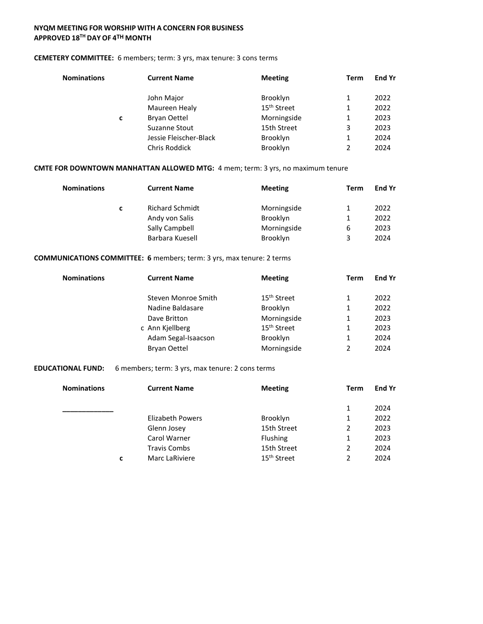### **NYQM MEETING FOR WORSHIP WITH A CONCERN FOR BUSINESS APPROVED 18TH DAY OF 4TH MONTH**

### **CEMETERY COMMITTEE:** 6 members; term: 3 yrs, max tenure: 3 cons terms

| <b>Nominations</b> |   | <b>Current Name</b>    | <b>Meeting</b>          | Term | <b>End Yr</b> |
|--------------------|---|------------------------|-------------------------|------|---------------|
|                    |   | John Major             | Brooklyn                | 1    | 2022          |
|                    |   | Maureen Healy          | 15 <sup>th</sup> Street | 1    | 2022          |
|                    | C | <b>Bryan Oettel</b>    | Morningside             | 1    | 2023          |
|                    |   | Suzanne Stout          | 15th Street             | 3    | 2023          |
|                    |   | Jessie Fleischer-Black | Brooklyn                | 1    | 2024          |
|                    |   | Chris Roddick          | Brooklyn                | 2    | 2024          |

### **CMTE FOR DOWNTOWN MANHATTAN ALLOWED MTG:** 4 mem; term: 3 yrs, no maximum tenure

| <b>Nominations</b> |   | <b>Current Name</b>    | <b>Meeting</b>  | Term | <b>End Yr</b> |
|--------------------|---|------------------------|-----------------|------|---------------|
|                    | c | <b>Richard Schmidt</b> | Morningside     | 1.   | 2022          |
|                    |   | Andy von Salis         | <b>Brooklyn</b> | 1    | 2022          |
|                    |   | Sally Campbell         | Morningside     | 6    | 2023          |
|                    |   | Barbara Kuesell        | <b>Brooklyn</b> | 3    | 2024          |

### **COMMUNICATIONS COMMITTEE: 6** members; term: 3 yrs, max tenure: 2 terms

| <b>Nominations</b> | <b>Current Name</b> | <b>Meeting</b>          | Term          | End Yr |
|--------------------|---------------------|-------------------------|---------------|--------|
|                    | Steven Monroe Smith | 15 <sup>th</sup> Street |               | 2022   |
|                    | Nadine Baldasare    | Brooklyn                | 1             | 2022   |
|                    | Dave Britton        | Morningside             | 1             | 2023   |
|                    | c Ann Kjellberg     | 15 <sup>th</sup> Street |               | 2023   |
|                    | Adam Segal-Isaacson | Brooklyn                |               | 2024   |
|                    | <b>Bryan Oettel</b> | Morningside             | $\mathfrak z$ | 2024   |

### **EDUCATIONAL FUND:** 6 members; term: 3 yrs, max tenure: 2 cons terms

| <b>Nominations</b> | <b>Current Name</b> | <b>Meeting</b>          | Term | End Yr |
|--------------------|---------------------|-------------------------|------|--------|
|                    |                     |                         |      | 2024   |
|                    | Elizabeth Powers    | Brooklyn                |      | 2022   |
|                    | Glenn Josey         | 15th Street             | 2    | 2023   |
|                    | Carol Warner        | <b>Flushing</b>         |      | 2023   |
|                    | <b>Travis Combs</b> | 15th Street             | 2    | 2024   |
| c                  | Marc LaRiviere      | 15 <sup>th</sup> Street | 2    | 2024   |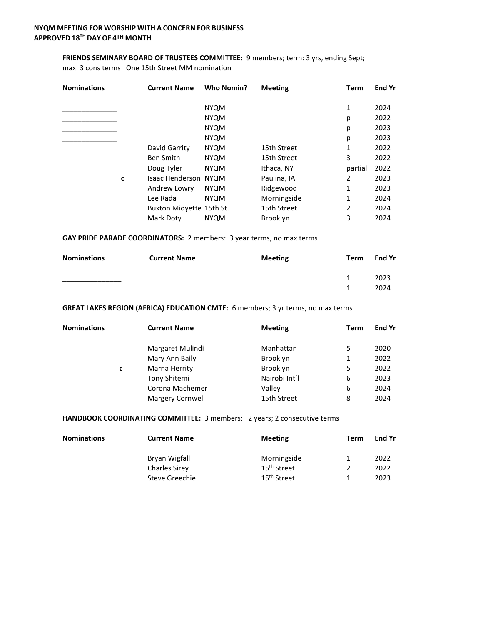## **FRIENDS SEMINARY BOARD OF TRUSTEES COMMITTEE:** 9 members; term: 3 yrs, ending Sept;

max: 3 cons terms One 15th Street MM nomination

| <b>Nominations</b> |   | <b>Current Name</b>         | <b>Who Nomin?</b> | <b>Meeting</b>  | Term           | <b>End Yr</b> |
|--------------------|---|-----------------------------|-------------------|-----------------|----------------|---------------|
|                    |   |                             | <b>NYQM</b>       |                 | 1              | 2024          |
|                    |   |                             | <b>NYQM</b>       |                 | р              | 2022          |
|                    |   |                             | <b>NYQM</b>       |                 | р              | 2023          |
|                    |   |                             | <b>NYQM</b>       |                 | р              | 2023          |
|                    |   | David Garrity               | <b>NYQM</b>       | 15th Street     | 1              | 2022          |
|                    |   | <b>Ben Smith</b>            | <b>NYQM</b>       | 15th Street     | 3              | 2022          |
|                    |   | Doug Tyler                  | <b>NYQM</b>       | Ithaca, NY      | partial        | 2022          |
|                    | c | <b>Isaac Henderson NYQM</b> |                   | Paulina, IA     | $\overline{2}$ | 2023          |
|                    |   | Andrew Lowry                | <b>NYQM</b>       | Ridgewood       | 1              | 2023          |
|                    |   | Lee Rada                    | <b>NYQM</b>       | Morningside     | 1              | 2024          |
|                    |   | Buxton Midyette 15th St.    |                   | 15th Street     | $\overline{2}$ | 2024          |
|                    |   | Mark Doty                   | <b>NYQM</b>       | <b>Brooklyn</b> | 3              | 2024          |

### **GAY PRIDE PARADE COORDINATORS:** 2 members: 3 year terms, no max terms

| <b>Nominations</b> | <b>Current Name</b> | <b>Meeting</b> | Term | End Yr       |
|--------------------|---------------------|----------------|------|--------------|
|                    |                     |                | 1    | 2023<br>2024 |

# **GREAT LAKES REGION (AFRICA) EDUCATION CMTE:** 6 members; 3 yr terms, no max terms

| <b>Nominations</b> |   | <b>Current Name</b> | <b>Meeting</b>  | Term | <b>End Yr</b> |
|--------------------|---|---------------------|-----------------|------|---------------|
|                    |   | Margaret Mulindi    | Manhattan       | 5    | 2020          |
|                    |   | Mary Ann Baily      | <b>Brooklyn</b> | 1    | 2022          |
|                    | c | Marna Herrity       | <b>Brooklyn</b> | 5    | 2022          |
|                    |   | Tony Shitemi        | Nairobi Int'l   | 6    | 2023          |
|                    |   | Corona Machemer     | Valley          | 6    | 2024          |
|                    |   | Margery Cornwell    | 15th Street     | 8    | 2024          |

### **HANDBOOK COORDINATING COMMITTEE:** 3 members: 2 years; 2 consecutive terms

| <b>Nominations</b> | <b>Current Name</b> | <b>Meeting</b>          | Term | <b>End Yr</b> |
|--------------------|---------------------|-------------------------|------|---------------|
|                    | Bryan Wigfall       | Morningside             | 1    | 2022          |
|                    | Charles Sirey       | 15 <sup>th</sup> Street | 2    | 2022          |
|                    | Steve Greechie      | 15 <sup>th</sup> Street | 1    | 2023          |
|                    |                     |                         |      |               |